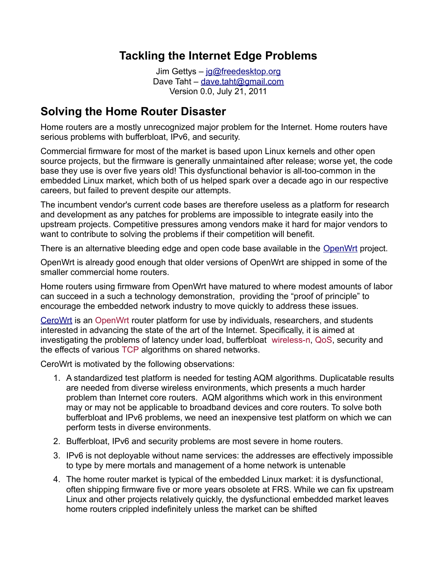### **Tackling the Internet Edge Problems**

Jim Gettys – [jg@freedesktop.org](mailto:jg@freedesktop.org) Dave Taht – [dave.taht@gmail.com](mailto:dave.taht@gmail.com) Version 0.0, July 21, 2011

#### **Solving the Home Router Disaster**

Home routers are a mostly unrecognized major problem for the Internet. Home routers have serious problems with bufferbloat, IPv6, and security.

Commercial firmware for most of the market is based upon Linux kernels and other open source projects, but the firmware is generally unmaintained after release; worse yet, the code base they use is over five years old! This dysfunctional behavior is all-too-common in the embedded Linux market, which both of us helped spark over a decade ago in our respective careers, but failed to prevent despite our attempts.

The incumbent vendor's current code bases are therefore useless as a platform for research and development as any patches for problems are impossible to integrate easily into the upstream projects. Competitive pressures among vendors make it hard for major vendors to want to contribute to solving the problems if their competition will benefit.

There is an alternative bleeding edge and open code base available in the [OpenWrt](https://openwrt.org/) project.

OpenWrt is already good enough that older versions of OpenWrt are shipped in some of the smaller commercial home routers.

Home routers using firmware from OpenWrt have matured to where modest amounts of labor can succeed in a such a technology demonstration, providing the "proof of principle" to encourage the embedded network industry to move quickly to address these issues.

[CeroWrt](http://www.bufferbloat.net/projects/cerowrt) is an [OpenWrt](http://www.openwrt.org/) router platform for use by individuals, researchers, and students interested in advancing the state of the art of the Internet. Specifically, it is aimed at investigating the problems of latency under load, bufferbloat [wireless-n,](http://en.wikipedia.org/wiki/IEEE_802.11n-2009) [QoS,](http://en.wikipedia.org/wiki/Quality_of_service) security and the effects of various [TCP](http://en.wikipedia.org/wiki/Transmission_Control_Protocol) algorithms on shared networks.

CeroWrt is motivated by the following observations:

- 1. A standardized test platform is needed for testing AQM algorithms. Duplicatable results are needed from diverse wireless environments, which presents a much harder problem than Internet core routers. AQM algorithms which work in this environment may or may not be applicable to broadband devices and core routers. To solve both bufferbloat and IPv6 problems, we need an inexpensive test platform on which we can perform tests in diverse environments.
- 2. Bufferbloat, IPv6 and security problems are most severe in home routers.
- 3. IPv6 is not deployable without name services: the addresses are effectively impossible to type by mere mortals and management of a home network is untenable
- 4. The home router market is typical of the embedded Linux market: it is dysfunctional, often shipping firmware five or more years obsolete at FRS. While we can fix upstream Linux and other projects relatively quickly, the dysfunctional embedded market leaves home routers crippled indefinitely unless the market can be shifted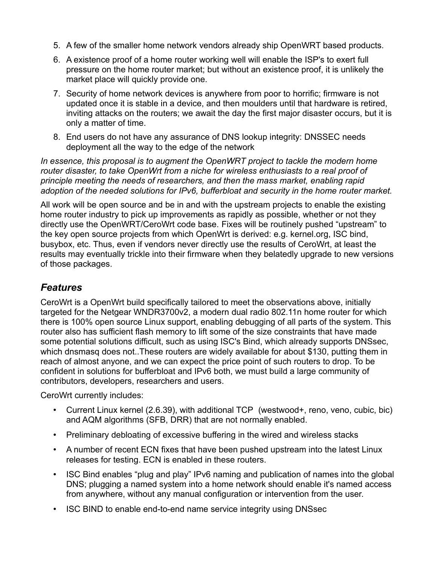- 5. A few of the smaller home network vendors already ship OpenWRT based products.
- 6. A existence proof of a home router working well will enable the ISP's to exert full pressure on the home router market; but without an existence proof, it is unlikely the market place will quickly provide one.
- 7. Security of home network devices is anywhere from poor to horrific; firmware is not updated once it is stable in a device, and then moulders until that hardware is retired, inviting attacks on the routers; we await the day the first major disaster occurs, but it is only a matter of time.
- 8. End users do not have any assurance of DNS lookup integrity: DNSSEC needs deployment all the way to the edge of the network

*In essence, this proposal is to augment the OpenWRT project to tackle the modern home router disaster, to take OpenWrt from a niche for wireless enthusiasts to a real proof of principle meeting the needs of researchers, and then the mass market, enabling rapid adoption of the needed solutions for IPv6, bufferbloat and security in the home router market.*

All work will be open source and be in and with the upstream projects to enable the existing home router industry to pick up improvements as rapidly as possible, whether or not they directly use the OpenWRT/CeroWrt code base. Fixes will be routinely pushed "upstream" to the key open source projects from which OpenWrt is derived: e.g. kernel.org, ISC bind, busybox, etc. Thus, even if vendors never directly use the results of CeroWrt, at least the results may eventually trickle into their firmware when they belatedly upgrade to new versions of those packages.

#### *Features*

CeroWrt is a OpenWrt build specifically tailored to meet the observations above, initially targeted for the Netgear WNDR3700v2, a modern dual radio 802.11n home router for which there is 100% open source Linux support, enabling debugging of all parts of the system. This router also has sufficient flash memory to lift some of the size constraints that have made some potential solutions difficult, such as using ISC's Bind, which already supports DNSsec, which dnsmasq does not..These routers are widely available for about \$130, putting them in reach of almost anyone, and we can expect the price point of such routers to drop. To be confident in solutions for bufferbloat and IPv6 both, we must build a large community of contributors, developers, researchers and users.

CeroWrt currently includes:

- Current Linux kernel (2.6.39), with additional TCP (westwood+, reno, veno, cubic, bic) and AQM algorithms (SFB, DRR) that are not normally enabled.
- Preliminary debloating of excessive buffering in the wired and wireless stacks
- A number of recent ECN fixes that have been pushed upstream into the latest Linux releases for testing. ECN is enabled in these routers.
- ISC Bind enables "plug and play" IPv6 naming and publication of names into the global DNS; plugging a named system into a home network should enable it's named access from anywhere, without any manual configuration or intervention from the user.
- ISC BIND to enable end-to-end name service integrity using DNSsec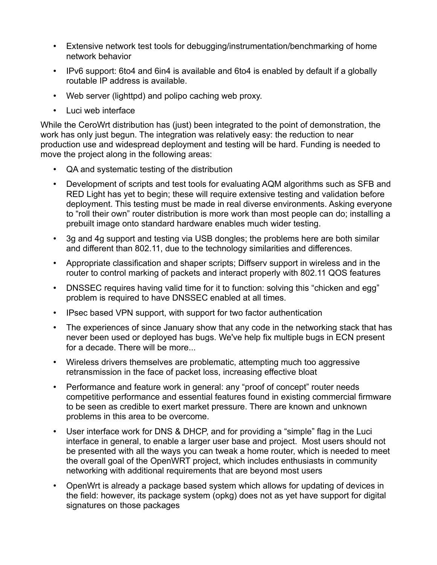- Extensive network test tools for debugging/instrumentation/benchmarking of home network behavior
- IPv6 support: 6to4 and 6in4 is available and 6to4 is enabled by default if a globally routable IP address is available.
- Web server (lighttpd) and polipo caching web proxy.
- Luci web interface

While the CeroWrt distribution has (just) been integrated to the point of demonstration, the work has only just begun. The integration was relatively easy: the reduction to near production use and widespread deployment and testing will be hard. Funding is needed to move the project along in the following areas:

- QA and systematic testing of the distribution
- Development of scripts and test tools for evaluating AQM algorithms such as SFB and RED Light has yet to begin; these will require extensive testing and validation before deployment. This testing must be made in real diverse environments. Asking everyone to "roll their own" router distribution is more work than most people can do; installing a prebuilt image onto standard hardware enables much wider testing.
- 3g and 4g support and testing via USB dongles; the problems here are both similar and different than 802.11, due to the technology similarities and differences.
- Appropriate classification and shaper scripts; Diffserv support in wireless and in the router to control marking of packets and interact properly with 802.11 QOS features
- DNSSEC requires having valid time for it to function: solving this "chicken and egg" problem is required to have DNSSEC enabled at all times.
- IPsec based VPN support, with support for two factor authentication
- The experiences of since January show that any code in the networking stack that has never been used or deployed has bugs. We've help fix multiple bugs in ECN present for a decade. There will be more...
- Wireless drivers themselves are problematic, attempting much too aggressive retransmission in the face of packet loss, increasing effective bloat
- Performance and feature work in general: any "proof of concept" router needs competitive performance and essential features found in existing commercial firmware to be seen as credible to exert market pressure. There are known and unknown problems in this area to be overcome.
- User interface work for DNS & DHCP, and for providing a "simple" flag in the Luci interface in general, to enable a larger user base and project. Most users should not be presented with all the ways you can tweak a home router, which is needed to meet the overall goal of the OpenWRT project, which includes enthusiasts in community networking with additional requirements that are beyond most users
- OpenWrt is already a package based system which allows for updating of devices in the field: however, its package system (opkg) does not as yet have support for digital signatures on those packages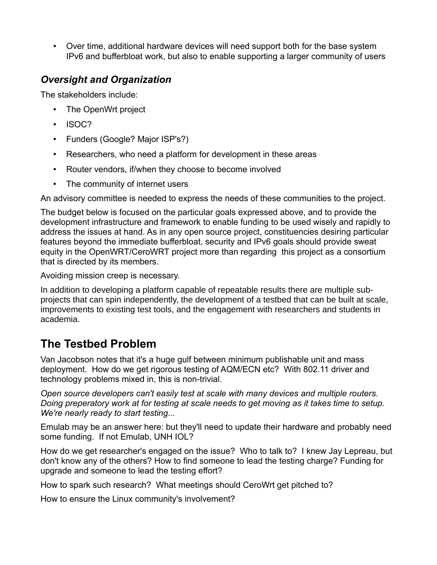• Over time, additional hardware devices will need support both for the base system IPv6 and bufferbloat work, but also to enable supporting a larger community of users

#### *Oversight and Organization*

The stakeholders include:

- The OpenWrt project
- ISOC?
- Funders (Google? Major ISP's?)
- Researchers, who need a platform for development in these areas
- Router vendors, if/when they choose to become involved
- The community of internet users

An advisory committee is needed to express the needs of these communities to the project.

The budget below is focused on the particular goals expressed above, and to provide the development infrastructure and framework to enable funding to be used wisely and rapidly to address the issues at hand. As in any open source project, constituencies desiring particular features beyond the immediate bufferbloat, security and IPv6 goals should provide sweat equity in the OpenWRT/CeroWRT project more than regarding this project as a consortium that is directed by its members.

Avoiding mission creep is necessary.

In addition to developing a platform capable of repeatable results there are multiple subprojects that can spin independently, the development of a testbed that can be built at scale, improvements to existing test tools, and the engagement with researchers and students in academia.

# **The Testbed Problem**

Van Jacobson notes that it's a huge gulf between minimum publishable unit and mass deployment. How do we get rigorous testing of AQM/ECN etc? With 802.11 driver and technology problems mixed in, this is non-trivial.

*Open source developers can't easily test at scale with many devices and multiple routers. Doing preperatory work at for testing at scale needs to get moving as it takes time to setup. We're nearly ready to start testing...*

Emulab may be an answer here: but they'll need to update their hardware and probably need some funding. If not Emulab, UNH IOL?

How do we get researcher's engaged on the issue? Who to talk to? I knew Jay Lepreau, but don't know any of the others? How to find someone to lead the testing charge? Funding for upgrade and someone to lead the testing effort?

How to spark such research? What meetings should CeroWrt get pitched to?

How to ensure the Linux community's involvement?